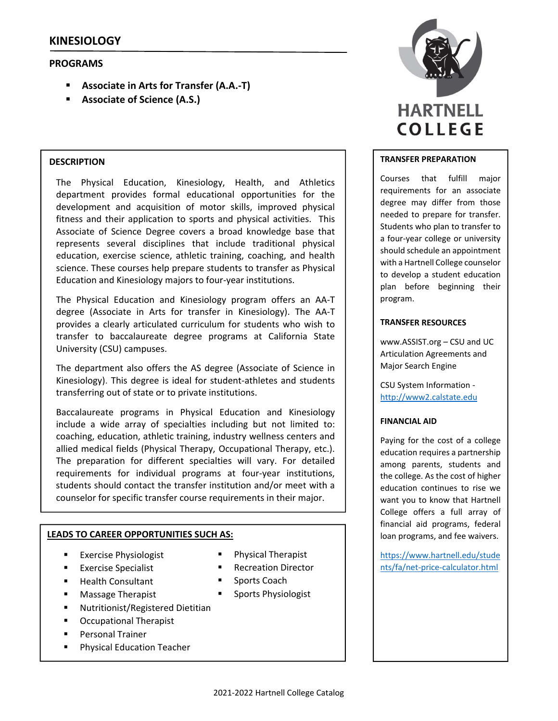# **PROGRAMS**

- **Associate in Arts for Transfer (A.A.‐T)**
- **Associate of Science (A.S.)**

# **DESCRIPTION**

The Physical Education, Kinesiology, Health, and Athletics department provides formal educational opportunities for the development and acquisition of motor skills, improved physical fitness and their application to sports and physical activities. This Associate of Science Degree covers a broad knowledge base that represents several disciplines that include traditional physical education, exercise science, athletic training, coaching, and health science. These courses help prepare students to transfer as Physical Education and Kinesiology majors to four‐year institutions.

The Physical Education and Kinesiology program offers an AA‐T degree (Associate in Arts for transfer in Kinesiology). The AA‐T provides a clearly articulated curriculum for students who wish to transfer to baccalaureate degree programs at California State University (CSU) campuses.

The department also offers the AS degree (Associate of Science in Kinesiology). This degree is ideal for student‐athletes and students transferring out of state or to private institutions.

Baccalaureate programs in Physical Education and Kinesiology include a wide array of specialties including but not limited to: coaching, education, athletic training, industry wellness centers and allied medical fields (Physical Therapy, Occupational Therapy, etc.). The preparation for different specialties will vary. For detailed requirements for individual programs at four‐year institutions, students should contact the transfer institution and/or meet with a counselor for specific transfer course requirements in their major.

# **LEADS TO CAREER OPPORTUNITIES SUCH AS:**

- Exercise Physiologist
- Exercise Specialist
- **Health Consultant**
- **Massage Therapist**
- Nutritionist/Registered Dietitian
- Occupational Therapist
- Personal Trainer
- **Physical Education Teacher**
- Physical Therapist
- Recreation Director
- **Sports Coach**
- Sports Physiologist



# **TRANSFER PREPARATION**

Courses that fulfill major requirements for an associate degree may differ from those needed to prepare for transfer. Students who plan to transfer to a four‐year college or university should schedule an appointment with a Hartnell College counselor to develop a student education plan before beginning their program.

# **TRANSFER RESOURCES**

www.ASSIST.org – CSU and UC Articulation Agreements and Major Search Engine

CSU System Information ‐ http://www2.calstate.edu

# **FINANCIAL AID**

Paying for the cost of a college education requires a partnership among parents, students and the college. As the cost of higher education continues to rise we want you to know that Hartnell College offers a full array of financial aid programs, federal loan programs, and fee waivers.

https://www.hartnell.edu/stude nts/fa/net‐price‐calculator.html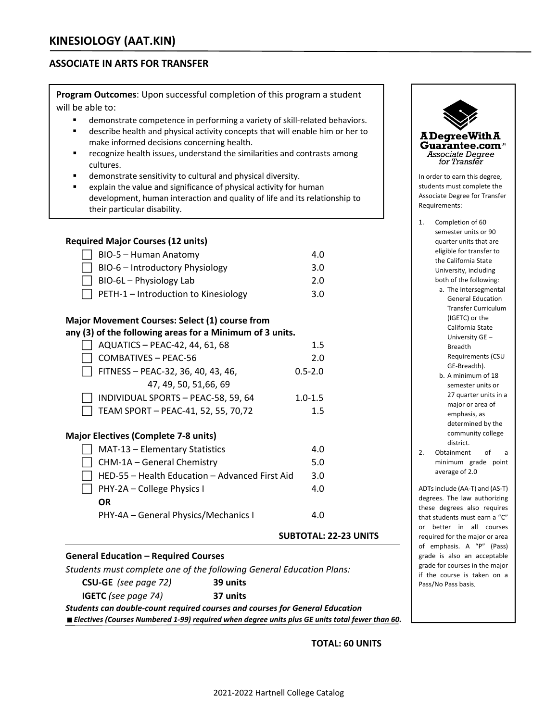# **ASSOCIATE IN ARTS FOR TRANSFER**

**Program Outcomes**: Upon successful completion of this program a student will be able to:

- demonstrate competence in performing a variety of skill-related behaviors.
- describe health and physical activity concepts that will enable him or her to make informed decisions concerning health.
- recognize health issues, understand the similarities and contrasts among cultures.
- demonstrate sensitivity to cultural and physical diversity.
- explain the value and significance of physical activity for human development, human interaction and quality of life and its relationship to their particular disability.

# **Required Major Courses (12 units)**

| $\Box$ BIO-5 – Human Anatomy                | 4.0 |
|---------------------------------------------|-----|
| $\Box$ BIO-6 – Introductory Physiology      | 3.0 |
| $\Box$ BIO-6L – Physiology Lab              | 2.0 |
| $\Box$ PETH-1 – Introduction to Kinesiology | 3.0 |

### **Major Movement Courses: Select (1) course from**

**any (3) of the following areas for a Minimum of 3 units.** 

| AQUATICS - PEAC-42, 44, 61, 68      | $1.5\,$     |
|-------------------------------------|-------------|
| COMBATIVES - PEAC-56                | 2.0         |
| FITNESS - PEAC-32, 36, 40, 43, 46,  | $0.5 - 2.0$ |
| 47, 49, 50, 51, 66, 69              |             |
| INDIVIDUAL SPORTS - PEAC-58, 59, 64 | $1.0 - 1.5$ |
| TEAM SPORT - PEAC-41, 52, 55, 70,72 | 15          |

#### **Major Electives (Complete 7‐8 units)**

| MAT-13 - Elementary Statistics                 | 4.0 |
|------------------------------------------------|-----|
| CHM-1A - General Chemistry                     | 5.0 |
| HED-55 - Health Education - Advanced First Aid | 3.0 |
| PHY-2A - College Physics I                     | 4.0 |
| <b>OR</b>                                      |     |
| PHY-4A - General Physics/Mechanics I           | 4.0 |

# **General Education – Required Courses**

*Students must complete one of the following General Education Plans:*

**CSU‐GE** *(see page 72)* **39 units**

**IGETC** *(see page 74)* **37 units**

*Students can double‐count required courses and courses for General Education* 

*Electives (Courses Numbered 1‐99) required when degree units plus GE units total fewer than 60.*

**TOTAL: 60 UNITS**

**SUBTOTAL: 22‐23 UNITS**



1. Completion of 60 semester units or 90 quarter units that are eligible for transfer to the California State University, including both of the following:

- a. The Intersegmental General Education Transfer Curriculum (IGETC) or the California State University GE – Breadth Requirements (CSU GE‐Breadth).
- b. A minimum of 18 semester units or 27 quarter units in a major or area of emphasis, as determined by the community college district.
- 2. Obtainment of a minimum grade point average of 2.0

ADTsinclude (AA‐T) and (AS‐T) degrees. The law authorizing these degrees also requires that students must earn a "C" or better in all courses required for the major or area of emphasis. A "P" (Pass) grade is also an acceptable grade for courses in the major if the course is taken on a Pass/No Pass basis.